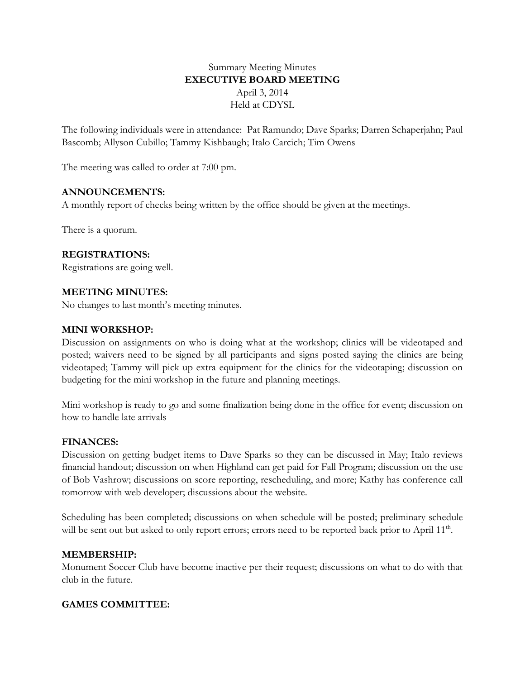# Summary Meeting Minutes **EXECUTIVE BOARD MEETING** April 3, 2014 Held at CDYSL

The following individuals were in attendance: Pat Ramundo; Dave Sparks; Darren Schaperjahn; Paul Bascomb; Allyson Cubillo; Tammy Kishbaugh; Italo Carcich; Tim Owens

The meeting was called to order at 7:00 pm.

## **ANNOUNCEMENTS:**

A monthly report of checks being written by the office should be given at the meetings.

There is a quorum.

## **REGISTRATIONS:**

Registrations are going well.

## **MEETING MINUTES:**

No changes to last month's meeting minutes.

### **MINI WORKSHOP:**

Discussion on assignments on who is doing what at the workshop; clinics will be videotaped and posted; waivers need to be signed by all participants and signs posted saying the clinics are being videotaped; Tammy will pick up extra equipment for the clinics for the videotaping; discussion on budgeting for the mini workshop in the future and planning meetings.

Mini workshop is ready to go and some finalization being done in the office for event; discussion on how to handle late arrivals

### **FINANCES:**

Discussion on getting budget items to Dave Sparks so they can be discussed in May; Italo reviews financial handout; discussion on when Highland can get paid for Fall Program; discussion on the use of Bob Vashrow; discussions on score reporting, rescheduling, and more; Kathy has conference call tomorrow with web developer; discussions about the website.

Scheduling has been completed; discussions on when schedule will be posted; preliminary schedule will be sent out but asked to only report errors; errors need to be reported back prior to April 11<sup>th</sup>.

### **MEMBERSHIP:**

Monument Soccer Club have become inactive per their request; discussions on what to do with that club in the future.

## **GAMES COMMITTEE:**